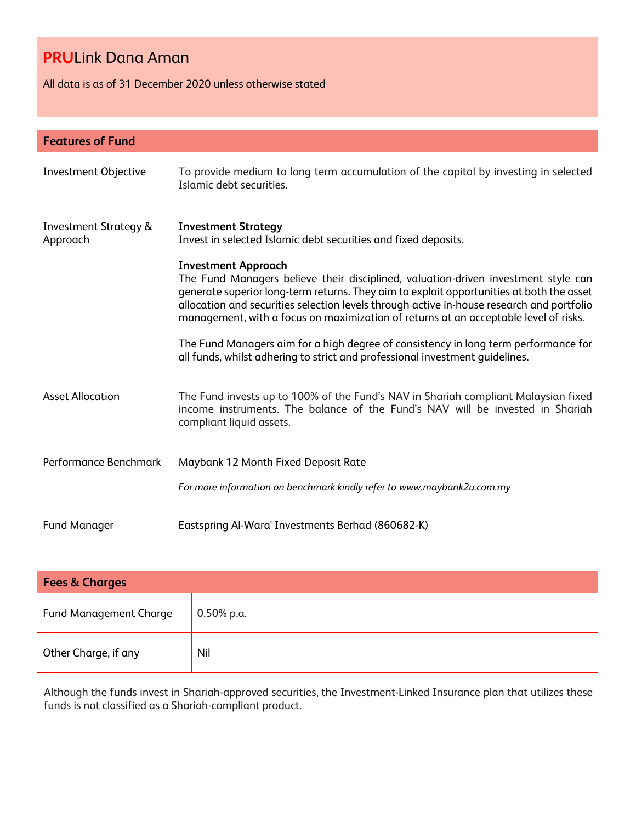All data is as of 31 December 2020 unless otherwise stated

| <b>Features of Fund</b>                      |                                                                                                                                                                                                                                                                                                                                                                                                                                                                                                                                                                                                                                                                          |  |
|----------------------------------------------|--------------------------------------------------------------------------------------------------------------------------------------------------------------------------------------------------------------------------------------------------------------------------------------------------------------------------------------------------------------------------------------------------------------------------------------------------------------------------------------------------------------------------------------------------------------------------------------------------------------------------------------------------------------------------|--|
| <b>Investment Objective</b>                  | To provide medium to long term accumulation of the capital by investing in selected<br>Islamic debt securities.                                                                                                                                                                                                                                                                                                                                                                                                                                                                                                                                                          |  |
| <b>Investment Strategy &amp;</b><br>Approach | <b>Investment Strategy</b><br>Invest in selected Islamic debt securities and fixed deposits.<br><b>Investment Approach</b><br>The Fund Managers believe their disciplined, valuation-driven investment style can<br>generate superior long-term returns. They aim to exploit opportunities at both the asset<br>allocation and securities selection levels through active in-house research and portfolio<br>management, with a focus on maximization of returns at an acceptable level of risks.<br>The Fund Managers aim for a high degree of consistency in long term performance for<br>all funds, whilst adhering to strict and professional investment quidelines. |  |
| <b>Asset Allocation</b>                      | The Fund invests up to 100% of the Fund's NAV in Shariah compliant Malaysian fixed<br>income instruments. The balance of the Fund's NAV will be invested in Shariah<br>compliant liquid assets.                                                                                                                                                                                                                                                                                                                                                                                                                                                                          |  |
| Performance Benchmark                        | Maybank 12 Month Fixed Deposit Rate<br>For more information on benchmark kindly refer to www.maybank2u.com.my                                                                                                                                                                                                                                                                                                                                                                                                                                                                                                                                                            |  |
| <b>Fund Manager</b>                          | Eastspring Al-Wara' Investments Berhad (860682-K)                                                                                                                                                                                                                                                                                                                                                                                                                                                                                                                                                                                                                        |  |

| <b>Fees &amp; Charges</b>     |            |  |  |
|-------------------------------|------------|--|--|
| <b>Fund Management Charge</b> | 0.50% p.a. |  |  |
| Other Charge, if any          | Nil        |  |  |

Although the funds invest in Shariah-approved securities, the Investment-Linked Insurance plan that utilizes these funds is not classified as a Shariah-compliant product.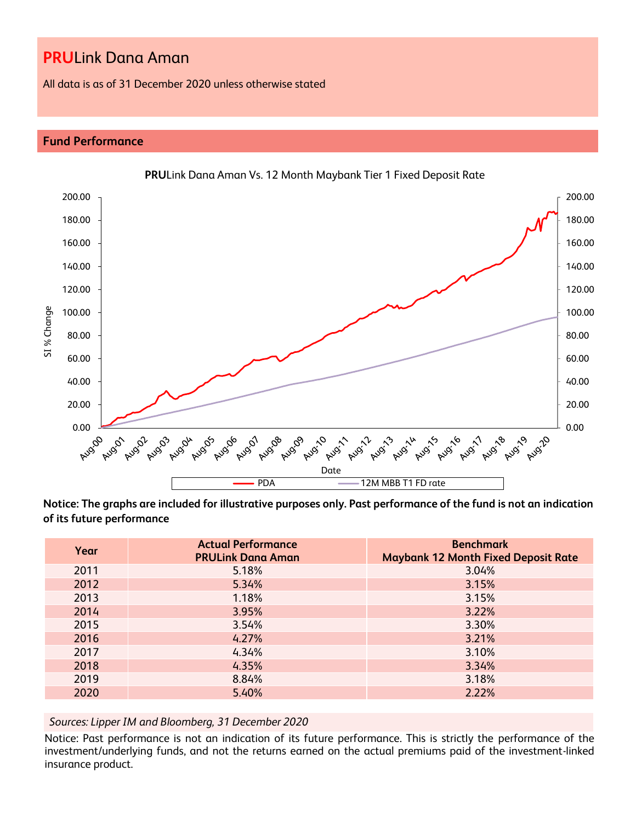All data is as of 31 December 2020 unless otherwise stated

## **Fund Performance**



**PRU**Link Dana Aman Vs. 12 Month Maybank Tier 1 Fixed Deposit Rate

**Notice: The graphs are included for illustrative purposes only. Past performance of the fund is not an indication of its future performance**

| Year | <b>Actual Performance</b><br><b>PRULink Dana Aman</b> | <b>Benchmark</b><br><b>Maybank 12 Month Fixed Deposit Rate</b> |
|------|-------------------------------------------------------|----------------------------------------------------------------|
| 2011 | 5.18%                                                 | 3.04%                                                          |
| 2012 | 5.34%                                                 | 3.15%                                                          |
| 2013 | 1.18%                                                 | 3.15%                                                          |
| 2014 | 3.95%                                                 | 3.22%                                                          |
| 2015 | 3.54%                                                 | 3.30%                                                          |
| 2016 | 4.27%                                                 | 3.21%                                                          |
| 2017 | 4.34%                                                 | 3.10%                                                          |
| 2018 | 4.35%                                                 | 3.34%                                                          |
| 2019 | 8.84%                                                 | 3.18%                                                          |
| 2020 | 5.40%                                                 | 2.22%                                                          |

*Sources: Lipper IM and Bloomberg, 31 December 2020*

Notice: Past performance is not an indication of its future performance. This is strictly the performance of the investment/underlying funds, and not the returns earned on the actual premiums paid of the investment-linked insurance product.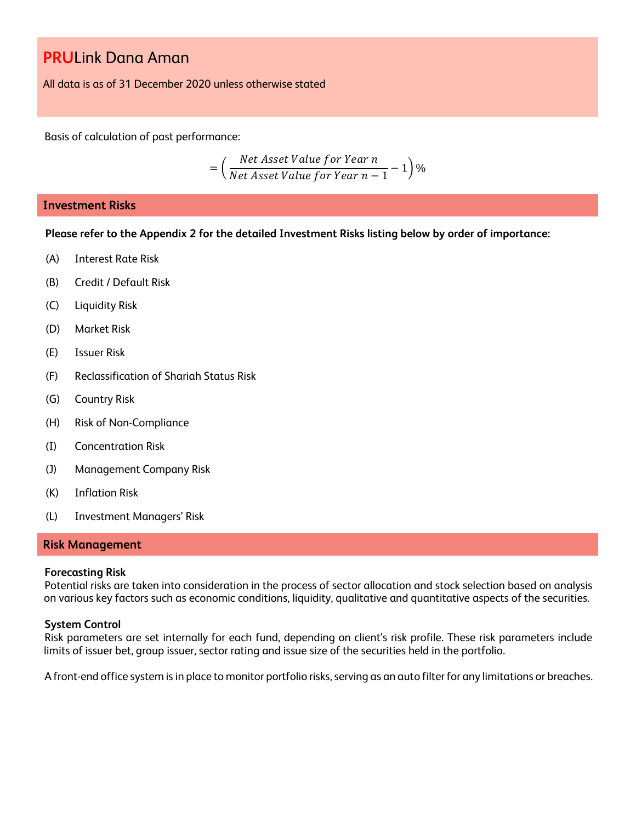All data is as of 31 December 2020 unless otherwise stated

Basis of calculation of past performance:

$$
= \left(\frac{Net\text{ Asset Value for Year }n}{Net\text{ Asset Value for Year }n-1}-1\right)\%
$$

### **Investment Risks**

**Please refer to the Appendix 2 for the detailed Investment Risks listing below by order of importance:**

- (A) Interest Rate Risk
- (B) Credit / Default Risk
- (C) Liquidity Risk
- (D) Market Risk
- (E) Issuer Risk
- (F) Reclassification of Shariah Status Risk
- (G) Country Risk
- (H) Risk of Non-Compliance
- (I) Concentration Risk
- (J) Management Company Risk
- (K) Inflation Risk
- (L) Investment Managers' Risk

#### **Risk Management**

#### **Forecasting Risk**

Potential risks are taken into consideration in the process of sector allocation and stock selection based on analysis on various key factors such as economic conditions, liquidity, qualitative and quantitative aspects of the securities.

### **System Control**

Risk parameters are set internally for each fund, depending on client's risk profile. These risk parameters include limits of issuer bet, group issuer, sector rating and issue size of the securities held in the portfolio.

A front-end office system is in place to monitor portfolio risks, serving as an auto filter for any limitations or breaches.